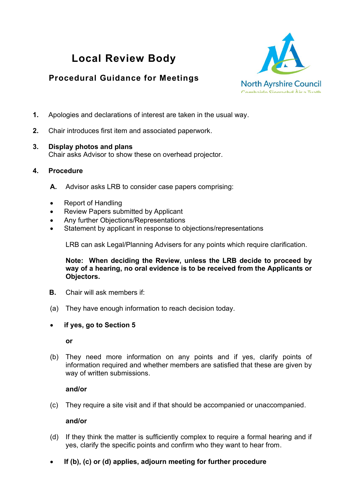# **Local Review Body**

# **Procedural Guidance for Meetings**



- **1.** Apologies and declarations of interest are taken in the usual way.
- **2.** Chair introduces first item and associated paperwork.

#### **3. Display photos and plans**  Chair asks Advisor to show these on overhead projector.

- **4. Procedure** 
	- **A.** Advisor asks LRB to consider case papers comprising:
	- Report of Handling
	- Review Papers submitted by Applicant
	- Any further Objections/Representations
	- Statement by applicant in response to objections/representations

LRB can ask Legal/Planning Advisers for any points which require clarification.

**Note: When deciding the Review, unless the LRB decide to proceed by way of a hearing, no oral evidence is to be received from the Applicants or Objectors.** 

- **B.** Chair will ask members if:
- (a) They have enough information to reach decision today.
- **if yes, go to Section 5**

#### **or**

(b) They need more information on any points and if yes, clarify points of information required and whether members are satisfied that these are given by way of written submissions.

### **and/or**

(c) They require a site visit and if that should be accompanied or unaccompanied.

#### **and/or**

- (d) If they think the matter is sufficiently complex to require a formal hearing and if yes, clarify the specific points and confirm who they want to hear from.
- **If (b), (c) or (d) applies, adjourn meeting for further procedure**